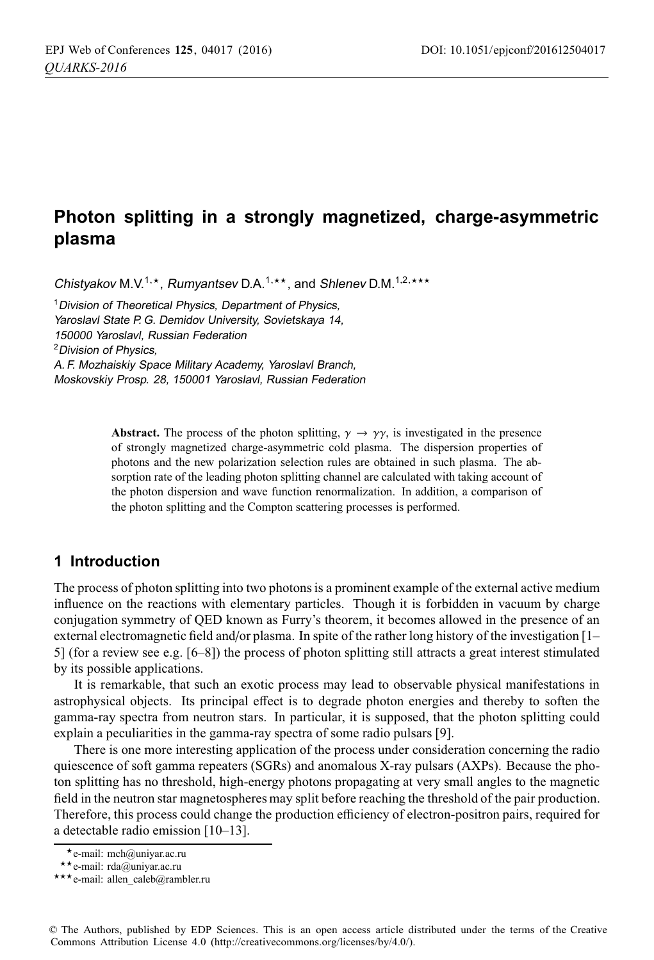# **Photon splitting in a strongly magnetized, charge-asymmetric plasma**

Chistyakov M.V.<sup>1,\*</sup>, Rumyantsev D.A.<sup>1,\*\*</sup>, and Shlenev D.M.<sup>1,2,\*\*\*</sup>

<sup>1</sup> Division of Theoretical Physics, Department of Physics, Yaroslavl State P. G. Demidov University, Sovietskaya 14, 150000 Yaroslavl, Russian Federation <sup>2</sup>Division of Physics, A. F. Mozhaiskiy Space Military Academy, Yaroslavl Branch, Moskovskiy Prosp. 28, 150001 Yaroslavl, Russian Federation

> **Abstract.** The process of the photon splitting,  $\gamma \rightarrow \gamma \gamma$ , is investigated in the presence of strongly magnetized charge-asymmetric cold plasma. The dispersion properties of photons and the new polarization selection rules are obtained in such plasma. The absorption rate of the leading photon splitting channel are calculated with taking account of the photon dispersion and wave function renormalization. In addition, a comparison of the photon splitting and the Compton scattering processes is performed.

# **1 Introduction**

The process of photon splitting into two photons is a prominent example of the external active medium influence on the reactions with elementary particles. Though it is forbidden in vacuum by charge conjugation symmetry of QED known as Furry's theorem, it becomes allowed in the presence of an external electromagnetic field and/or plasma. In spite of the rather long history of the investigation [1– 5] (for a review see e.g. [6–8]) the process of photon splitting still attracts a great interest stimulated by its possible applications.

It is remarkable, that such an exotic process may lead to observable physical manifestations in astrophysical objects. Its principal effect is to degrade photon energies and thereby to soften the gamma-ray spectra from neutron stars. In particular, it is supposed, that the photon splitting could explain a peculiarities in the gamma-ray spectra of some radio pulsars [9].

There is one more interesting application of the process under consideration concerning the radio quiescence of soft gamma repeaters (SGRs) and anomalous X-ray pulsars (AXPs). Because the photon splitting has no threshold, high-energy photons propagating at very small angles to the magnetic field in the neutron star magnetospheres may split before reaching the threshold of the pair production. Therefore, this process could change the production efficiency of electron-positron pairs, required for a detectable radio emission [10–13].

<sup>-</sup>e-mail: mch@uniyar.ac.ru

<sup>\*\*</sup>e-mail: rda@uniyar.ac.ru

<sup>\*\*\*</sup>e-mail: allen\_caleb@rambler.ru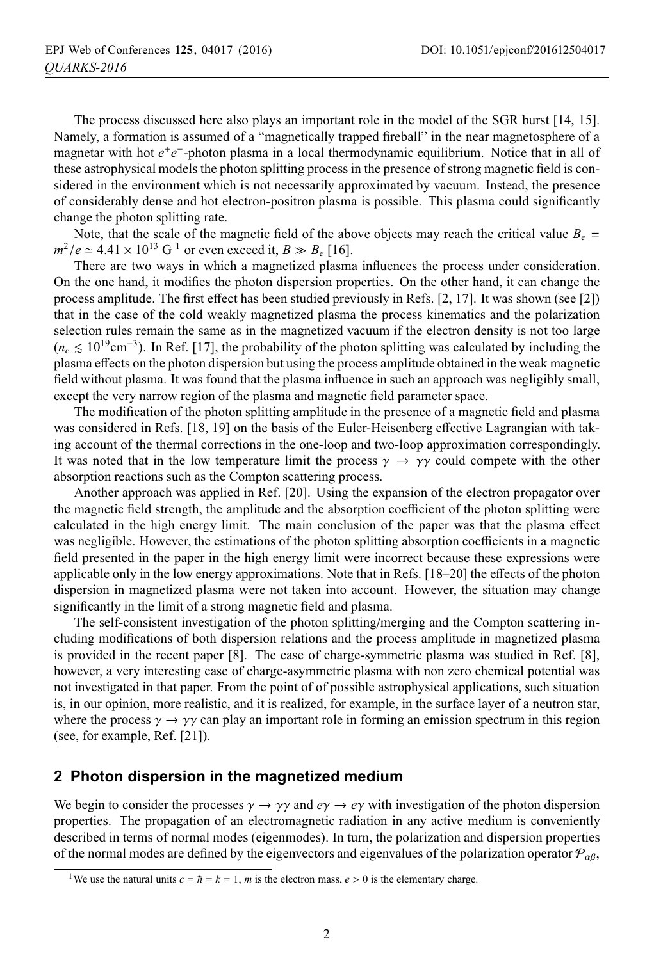The process discussed here also plays an important role in the model of the SGR burst [14, 15]. Namely, a formation is assumed of a "magnetically trapped fireball" in the near magnetosphere of a magnetar with hot *e*+*e*−-photon plasma in a local thermodynamic equilibrium. Notice that in all of these astrophysical models the photon splitting process in the presence of strong magnetic field is considered in the environment which is not necessarily approximated by vacuum. Instead, the presence of considerably dense and hot electron-positron plasma is possible. This plasma could significantly change the photon splitting rate.

Note, that the scale of the magnetic field of the above objects may reach the critical value  $B_e$  $m^2/e \approx 4.41 \times 10^{13}$  G<sup>1</sup> or even exceed it,  $B \gg B_e$  [16].

There are two ways in which a magnetized plasma influences the process under consideration. On the one hand, it modifies the photon dispersion properties. On the other hand, it can change the process amplitude. The first effect has been studied previously in Refs. [2, 17]. It was shown (see [2]) that in the case of the cold weakly magnetized plasma the process kinematics and the polarization selection rules remain the same as in the magnetized vacuum if the electron density is not too large  $(n_e \leq 10^{19} \text{cm}^{-3})$ . In Ref. [17], the probability of the photon splitting was calculated by including the plasma effects on the photon dispersion but using the process amplitude obtained in the weak magnetic field without plasma. It was found that the plasma influence in such an approach was negligibly small, except the very narrow region of the plasma and magnetic field parameter space.

The modification of the photon splitting amplitude in the presence of a magnetic field and plasma was considered in Refs. [18, 19] on the basis of the Euler-Heisenberg effective Lagrangian with taking account of the thermal corrections in the one-loop and two-loop approximation correspondingly. It was noted that in the low temperature limit the process  $\gamma \to \gamma \gamma$  could compete with the other absorption reactions such as the Compton scattering process.

Another approach was applied in Ref. [20]. Using the expansion of the electron propagator over the magnetic field strength, the amplitude and the absorption coefficient of the photon splitting were calculated in the high energy limit. The main conclusion of the paper was that the plasma effect was negligible. However, the estimations of the photon splitting absorption coefficients in a magnetic field presented in the paper in the high energy limit were incorrect because these expressions were applicable only in the low energy approximations. Note that in Refs. [18–20] the effects of the photon dispersion in magnetized plasma were not taken into account. However, the situation may change significantly in the limit of a strong magnetic field and plasma.

The self-consistent investigation of the photon splitting/merging and the Compton scattering including modifications of both dispersion relations and the process amplitude in magnetized plasma is provided in the recent paper [8]. The case of charge-symmetric plasma was studied in Ref. [8], however, a very interesting case of charge-asymmetric plasma with non zero chemical potential was not investigated in that paper. From the point of of possible astrophysical applications, such situation is, in our opinion, more realistic, and it is realized, for example, in the surface layer of a neutron star, where the process  $\gamma \to \gamma \gamma$  can play an important role in forming an emission spectrum in this region (see, for example, Ref. [21]).

#### **2 Photon dispersion in the magnetized medium**

We begin to consider the processes  $\gamma \to \gamma \gamma$  and  $e\gamma \to e\gamma$  with investigation of the photon dispersion properties. The propagation of an electromagnetic radiation in any active medium is conveniently described in terms of normal modes (eigenmodes). In turn, the polarization and dispersion properties of the normal modes are defined by the eigenvectors and eigenvalues of the polarization operator  $\mathcal{P}_{\alpha\beta}$ ,

<sup>&</sup>lt;sup>1</sup>We use the natural units  $c = \hbar = k = 1$ , *m* is the electron mass,  $e > 0$  is the elementary charge.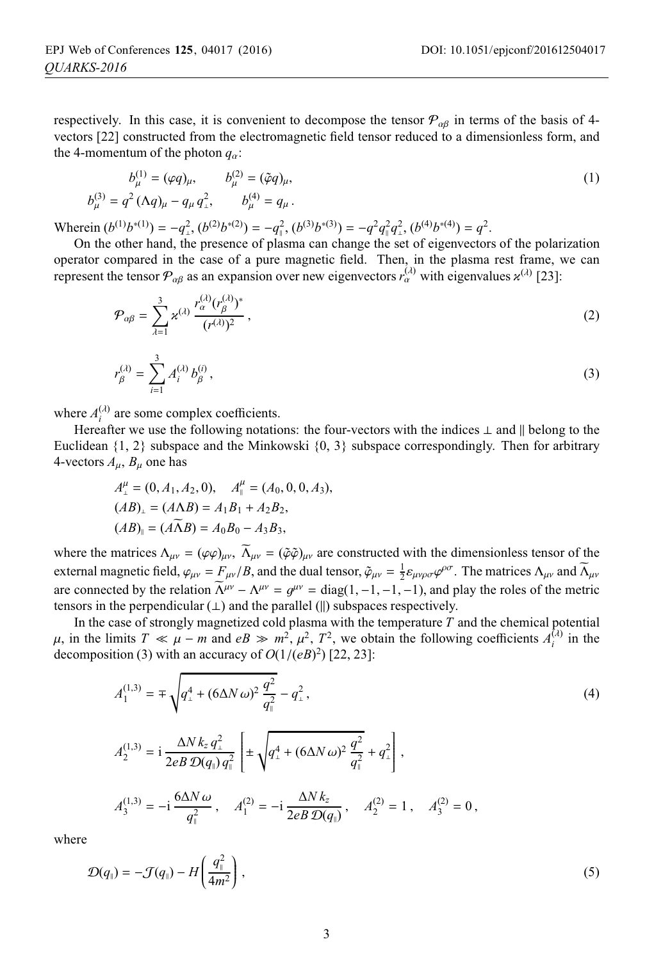respectively. In this case, it is convenient to decompose the tensor  $P_{\alpha\beta}$  in terms of the basis of 4vectors [22] constructed from the electromagnetic field tensor reduced to a dimensionless form, and the 4-momentum of the photon  $q_\alpha$ :

$$
b_{\mu}^{(1)} = (\varphi q)_{\mu}, \qquad b_{\mu}^{(2)} = (\tilde{\varphi} q)_{\mu},
$$
  
\n
$$
b_{\mu}^{(3)} = q^2 (\Lambda q)_{\mu} - q_{\mu} q_{\perp}^2, \qquad b_{\mu}^{(4)} = q_{\mu}.
$$
\n(1)

Wherein  $(b^{(1)}b^{*(1)}) = -q_{\perp}^2$ ,  $(b^{(2)}b^{*(2)}) = -q_{\parallel}^2$ ,  $(b^{(3)}b^{*(3)}) = -q^2q_{\parallel}^2q_{\perp}^2$ ,  $(b^{(4)}b^{*(4)}) = q^2$ .

On the other hand, the presence of plasma can change the set of eigenvectors of the polarization operator compared in the case of a pure magnetic field. Then, in the plasma rest frame, we can represent the tensor  $\mathcal{P}_{\alpha\beta}$  as an expansion over new eigenvectors  $r_\alpha^{(\lambda)}$  with eigenvalues  $\varkappa^{(\lambda)}$  [23]:

$$
\mathcal{P}_{\alpha\beta} = \sum_{\lambda=1}^{3} \varkappa^{(\lambda)} \frac{r_{\alpha}^{(\lambda)} (r_{\beta}^{(\lambda)})^*}{(r^{(\lambda)})^2},
$$
\n(2)

$$
r_{\beta}^{(\lambda)} = \sum_{i=1}^{3} A_i^{(\lambda)} b_{\beta}^{(i)},
$$
\n(3)

where  $A_i^{(\lambda)}$  are some complex coefficients.

Hereafter we use the following notations: the four-vectors with the indices  $\perp$  and  $\parallel$  belong to the Euclidean  $\{1, 2\}$  subspace and the Minkowski  $\{0, 3\}$  subspace correspondingly. Then for arbitrary 4-vectors  $A_\mu$ ,  $B_\mu$  one has

$$
A^{\mu}_{\perp} = (0, A_1, A_2, 0), \quad A^{\mu}_{\parallel} = (A_0, 0, 0, A_3),
$$
  
\n
$$
(AB)_{\perp} = (A \Lambda B) = A_1 B_1 + A_2 B_2,
$$
  
\n
$$
(AB)_{\parallel} = (A \widetilde{\Lambda} B) = A_0 B_0 - A_3 B_3,
$$

where the matrices  $\Lambda_{\mu\nu} = (\varphi \varphi)_{\mu\nu}$ ,  $\widetilde{\Lambda}_{\mu\nu} = (\tilde{\varphi} \tilde{\varphi})_{\mu\nu}$  are constructed with the dimensionless tensor of the external magnetic field,  $\varphi_{\mu\nu} = F_{\mu\nu}/B$ , and the dual tensor,  $\tilde{\varphi}_{\mu\nu} = \frac{1}{2} \varepsilon_{\mu\nu\rho\sigma} \varphi^{\rho\sigma}$ . The matrices  $\Lambda_{\mu\nu}$  and  $\tilde{\Lambda}_{\mu\nu}$ are connected by the relation  $\widetilde{\Lambda}^{\mu\nu} - \Lambda^{\mu\nu} = q^{\mu\nu} = \text{diag}(1, -1, -1, -1)$ , and play the roles of the metric tensors in the perpendicular  $(\perp)$  and the parallel (||) subspaces respectively.

In the case of strongly magnetized cold plasma with the temperature *T* and the chemical potential μ, in the limits *T*  $\ll \mu - m$  and *eB*  $\gg m^2$ ,  $\mu^2$ ,  $T^2$ , we obtain the following coefficients  $A_i^{(\lambda)}$  in the decomposition (3) with an accuracy of *O*(1)(*eR*)<sup>2</sup>) [22–23]. decomposition (3) with an accuracy of  $O(1/(eB)^2)$  [22, 23]:

$$
A_1^{(1,3)} = \mp \sqrt{q_\perp^4 + (6\Delta N \omega)^2 \frac{q^2}{q_\parallel^2}} - q_\perp^2,
$$
\n(4)

$$
A_2^{(1,3)} = \mathbf{i} \frac{\Delta N k_z q_\perp^2}{2eB \mathcal{D}(q_\parallel) q_\parallel^2} \left[ \pm \sqrt{q_\perp^4 + (6\Delta N \omega)^2 \frac{q^2}{q_\parallel^2}} + q_\perp^2 \right],
$$
  

$$
A_3^{(1,3)} = -\mathbf{i} \frac{6\Delta N \omega}{q_\parallel^2}, \quad A_1^{(2)} = -\mathbf{i} \frac{\Delta N k_z}{2eB \mathcal{D}(q_\parallel)}, \quad A_2^{(2)} = 1, \quad A_3^{(2)} = 0,
$$

where

$$
\mathcal{D}(q_{\parallel}) = -\mathcal{J}(q_{\parallel}) - H\left(\frac{q_{\parallel}^2}{4m^2}\right),\tag{5}
$$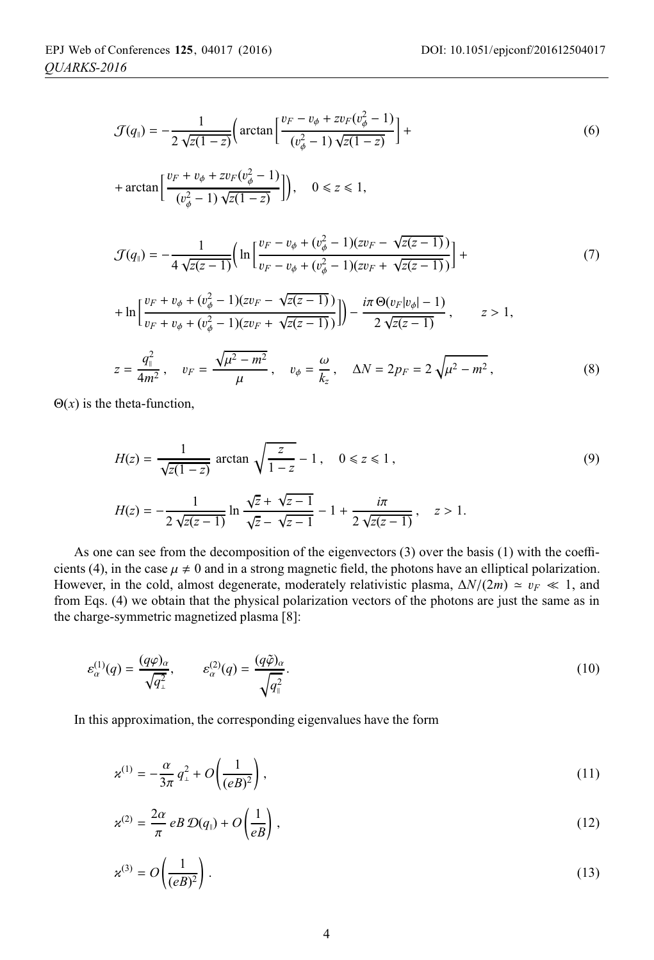$$
\mathcal{J}(q_{\parallel}) = -\frac{1}{2\sqrt{z(1-z)}} \left( \arctan \left[ \frac{v_F - v_{\phi} + z v_F (v_{\phi}^2 - 1)}{(v_{\phi}^2 - 1) \sqrt{z(1-z)}} \right] + \right. \tag{6}
$$

$$
+\arctan\left[\frac{v_F + v_{\phi} + zv_F(v_{\phi}^2 - 1)}{(v_{\phi}^2 - 1)\sqrt{z(1 - z)}}\right]\bigg), \quad 0 \le z \le 1,
$$

$$
\mathcal{J}(q_{\parallel}) = -\frac{1}{4\sqrt{z(z-1)}} \Big( \ln \Big[ \frac{v_F - v_{\phi} + (v_{\phi}^2 - 1)(zv_F - \sqrt{z(z-1)})}{v_F - v_{\phi} + (v_{\phi}^2 - 1)(zv_F + \sqrt{z(z-1)})} \Big] + \tag{7}
$$

$$
+ \ln \left[ \frac{v_F + v_\phi + (v_\phi^2 - 1)(zv_F - \sqrt{z(z-1)})}{v_F + v_\phi + (v_\phi^2 - 1)(zv_F + \sqrt{z(z-1)})} \right] \Big) - \frac{i\pi \Theta(v_F|v_\phi| - 1)}{2\sqrt{z(z-1)}}, \qquad z > 1,
$$
  

$$
z = \frac{q_\parallel^2}{4m^2}, \quad v_F = \frac{\sqrt{\mu^2 - m^2}}{\mu}, \quad v_\phi = \frac{\omega}{k_z}, \quad \Delta N = 2p_F = 2\sqrt{\mu^2 - m^2},
$$
 (8)

 $\Theta(x)$  is the theta-function,

$$
H(z) = \frac{1}{\sqrt{z(1-z)}} \arctan \sqrt{\frac{z}{1-z}} - 1, \quad 0 \le z \le 1,
$$
\n
$$
H(z) = -\frac{1}{2\sqrt{z(z-1)}} \ln \frac{\sqrt{z} + \sqrt{z-1}}{\sqrt{z} - \sqrt{z-1}} - 1 + \frac{i\pi}{2\sqrt{z(z-1)}}, \quad z > 1.
$$
\n(9)

As one can see from the decomposition of the eigenvectors (3) over the basis (1) with the coefficients (4), in the case  $\mu \neq 0$  and in a strong magnetic field, the photons have an elliptical polarization.<br>However, in the cold, almost degenerate moderately relativistic plasma,  $\Delta N/(2m) \approx n \le 1$ , and However, in the cold, almost degenerate, moderately relativistic plasma,  $\Delta N/(2m) \simeq v_F \ll 1$ , and from Eqs. (4) we obtain that the physical polarization vectors of the photons are just the same as in the charge-symmetric magnetized plasma [8]:

$$
\varepsilon_{\alpha}^{(1)}(q) = \frac{(q\varphi)_{\alpha}}{\sqrt{q_{\perp}^2}}, \qquad \varepsilon_{\alpha}^{(2)}(q) = \frac{(q\tilde{\varphi})_{\alpha}}{\sqrt{q_{\parallel}^2}}.
$$
\n(10)

In this approximation, the corresponding eigenvalues have the form

$$
\chi^{(1)} = -\frac{\alpha}{3\pi} q_{\perp}^2 + O\left(\frac{1}{(eB)^2}\right),\tag{11}
$$

$$
\chi^{(2)} = \frac{2\alpha}{\pi} eB \mathcal{D}(q_{\parallel}) + O\left(\frac{1}{eB}\right),\tag{12}
$$

$$
\mathbf{x}^{(3)} = O\left(\frac{1}{(eB)^2}\right). \tag{13}
$$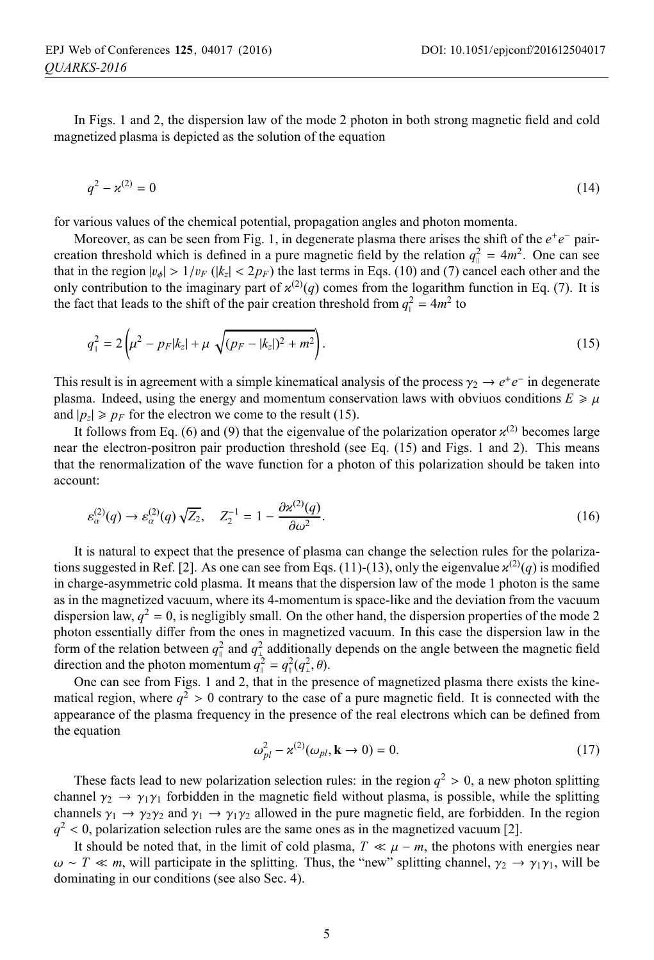In Figs. 1 and 2, the dispersion law of the mode 2 photon in both strong magnetic field and cold magnetized plasma is depicted as the solution of the equation

$$
q^2 - \varkappa^{(2)} = 0 \tag{14}
$$

for various values of the chemical potential, propagation angles and photon momenta.

Moreover, as can be seen from Fig. 1, in degenerate plasma there arises the shift of the *e*+*e*<sup>−</sup> paircreation threshold which is defined in a pure magnetic field by the relation  $q_{\parallel}^2 = 4m^2$ . One can see that in the region  $|v_{\phi}| > 1/v_F$  ( $|k_z| < 2p_F$ ) the last terms in Eqs. (10) and (7) cancel each other and the only contribution to the imaginary part of  $\chi^{(2)}(q)$  comes from the logarithm function in Eq. (7). It is the fact that leads to the shift of the pair creation threshold from  $q_{\parallel}^2 = 4m^2$  to

$$
q_{\parallel}^{2} = 2\left(\mu^{2} - p_{F}|k_{z}| + \mu \sqrt{(p_{F} - |k_{z}|)^{2} + m^{2}}\right).
$$
 (15)

This result is in agreement with a simple kinematical analysis of the process  $\gamma_2 \to e^+e^-$  in degenerate plasma. Indeed, using the energy and momentum conservation laws with obviuos conditions  $E \geq \mu$ and  $|p_z| \geq p_F$  for the electron we come to the result (15).

It follows from Eq. (6) and (9) that the eigenvalue of the polarization operator  $x^{(2)}$  becomes large near the electron-positron pair production threshold (see Eq. (15) and Figs. 1 and 2). This means that the renormalization of the wave function for a photon of this polarization should be taken into account:

$$
\varepsilon_{\alpha}^{(2)}(q) \to \varepsilon_{\alpha}^{(2)}(q)\sqrt{Z_2}, \quad Z_2^{-1} = 1 - \frac{\partial \varkappa^{(2)}(q)}{\partial \omega^2}.
$$
\n(16)

It is natural to expect that the presence of plasma can change the selection rules for the polarizations suggested in Ref. [2]. As one can see from Eqs. (11)-(13), only the eigenvalue  $\alpha^{(2)}(q)$  is modified in charge-asymmetric cold plasma. It means that the dispersion law of the mode 1 photon is the same as in the magnetized vacuum, where its 4-momentum is space-like and the deviation from the vacuum dispersion law,  $q^2 = 0$ , is negligibly small. On the other hand, the dispersion properties of the mode 2 photon essentially differ from the ones in magnetized vacuum. In this case the dispersion law in the form of the relation between  $q_{\parallel}^2$  and  $q_{\perp}^2$  additionally depends on the angle between the magnetic field direction and the photon momentum  $q_1^2 = q_1^2 (q_1^2, \theta)$ .<br>One can see from Figs. 1 and 2, that in the pre-

One can see from Figs. 1 and 2, that in the presence of magnetized plasma there exists the kinematical region, where  $q^2 > 0$  contrary to the case of a pure magnetic field. It is connected with the appearance of the plasma frequency in the presence of the real electrons which can be defined from the equation

$$
\omega_{pl}^2 - \varkappa^{(2)}(\omega_{pl}, \mathbf{k} \to 0) = 0. \tag{17}
$$

These facts lead to new polarization selection rules: in the region  $q^2 > 0$ , a new photon splitting channel  $\gamma_2 \rightarrow \gamma_1 \gamma_1$  forbidden in the magnetic field without plasma, is possible, while the splitting channels  $\gamma_1 \to \gamma_2 \gamma_2$  and  $\gamma_1 \to \gamma_1 \gamma_2$  allowed in the pure magnetic field, are forbidden. In the region  $q^2$  < 0, polarization selection rules are the same ones as in the magnetized vacuum [2].

It should be noted that, in the limit of cold plasma,  $T \ll \mu - m$ , the photons with energies near  $\omega \sim T \ll m$ , will participate in the splitting. Thus, the "new" splitting channel,  $\gamma_2 \to \gamma_1 \gamma_1$ , will be dominating in our conditions (see also Sec. 4).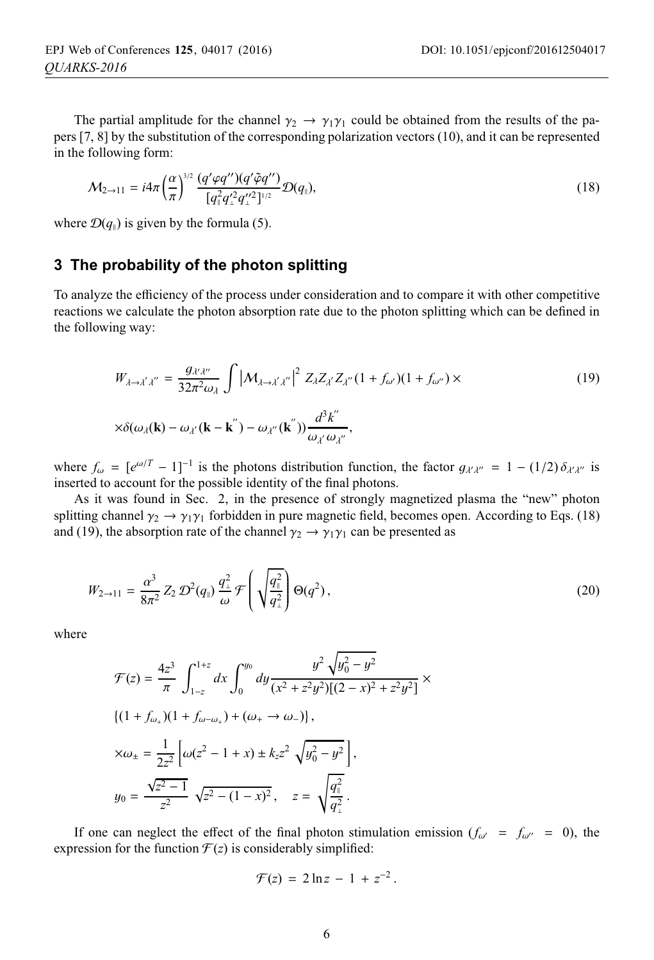The partial amplitude for the channel  $\gamma_2 \rightarrow \gamma_1 \gamma_1$  could be obtained from the results of the papers [7, 8] by the substitution of the corresponding polarization vectors (10), and it can be represented in the following form:

$$
\mathcal{M}_{2\to 11} = i4\pi \left(\frac{\alpha}{\pi}\right)^{3/2} \frac{(q'\varphi q'')(q'\tilde{\varphi}q'')}{[q_{\parallel}^2 q_{\perp}^{\prime\prime 2}]^{1/2}} \mathcal{D}(q_{\parallel}), \tag{18}
$$

where  $\mathcal{D}(q_{\parallel})$  is given by the formula (5).

#### **3 The probability of the photon splitting**

To analyze the efficiency of the process under consideration and to compare it with other competitive reactions we calculate the photon absorption rate due to the photon splitting which can be defined in the following way:

$$
W_{\lambda \to \lambda' \lambda''} = \frac{g_{\lambda' \lambda''}}{32\pi^2 \omega_{\lambda}} \int \left| M_{\lambda \to \lambda' \lambda''} \right|^2 Z_{\lambda} Z_{\lambda'} Z_{\lambda''} (1 + f_{\omega'}) (1 + f_{\omega''}) \times
$$
  
 
$$
\times \delta(\omega_{\lambda}(\mathbf{k}) - \omega_{\lambda'}(\mathbf{k} - \mathbf{k}'') - \omega_{\lambda''}(\mathbf{k}'')) \frac{d^3 k''}{\omega_{\lambda'} \omega_{\lambda''}},
$$
 (19)

where  $f_{\omega} = [e^{\omega/T} - 1]^{-1}$  is the photons distribution function, the factor  $g_{\lambda'\lambda''} = 1 - (1/2) \delta_{\lambda'\lambda''}$  is inserted to account for the possible identity of the final photons inserted to account for the possible identity of the final photons.

 $\omega_{\lambda^{'}}\omega_{\lambda^{''}}$ 

As it was found in Sec. 2, in the presence of strongly magnetized plasma the "new" photon splitting channel  $\gamma_2 \to \gamma_1 \gamma_1$  forbidden in pure magnetic field, becomes open. According to Eqs. (18) and (19), the absorption rate of the channel  $\gamma_2 \rightarrow \gamma_1 \gamma_1$  can be presented as

$$
W_{2\to11} = \frac{\alpha^3}{8\pi^2} Z_2 \mathcal{D}^2(q_{\parallel}) \frac{q_{\perp}^2}{\omega} \mathcal{F}\left(\sqrt{\frac{q_{\parallel}^2}{q_{\perp}^2}}\right) \Theta(q^2), \qquad (20)
$$

where

$$
\mathcal{F}(z) = \frac{4z^3}{\pi} \int_{1-z}^{1+z} dx \int_0^{y_0} dy \frac{y^2 \sqrt{y_0^2 - y^2}}{(x^2 + z^2 y^2)[(2 - x)^2 + z^2 y^2]} \times
$$
  
\n
$$
\{(1 + f_{\omega_+})(1 + f_{\omega - \omega_+}) + (\omega_+ \to \omega_-)\},
$$
  
\n
$$
\times \omega_{\pm} = \frac{1}{2z^2} \left[ \omega(z^2 - 1 + x) \pm k_z z^2 \sqrt{y_0^2 - y^2} \right],
$$
  
\n
$$
y_0 = \frac{\sqrt{z^2 - 1}}{z^2} \sqrt{z^2 - (1 - x)^2}, \quad z = \sqrt{\frac{q_{\perp}^2}{q_{\perp}^2}}.
$$

If one can neglect the effect of the final photon stimulation emission  $(f_{\omega'} = f_{\omega''} = 0)$ , the expression for the function  $\mathcal{F}(z)$  is considerably simplified:

$$
\mathcal{F}(z) = 2 \ln z - 1 + z^{-2}.
$$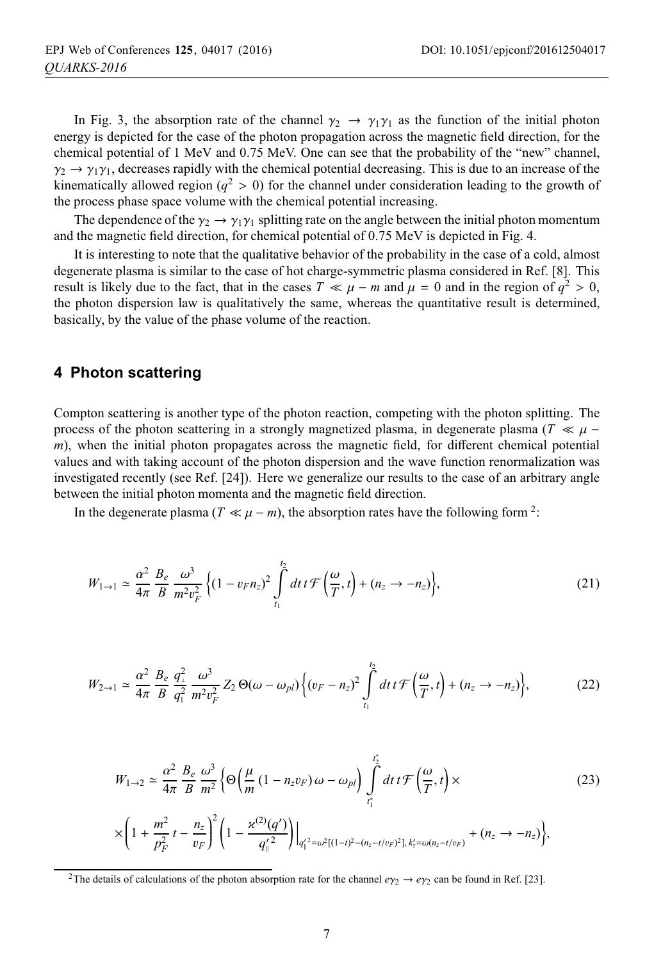In Fig. 3, the absorption rate of the channel  $\gamma_2 \rightarrow \gamma_1 \gamma_1$  as the function of the initial photon energy is depicted for the case of the photon propagation across the magnetic field direction, for the chemical potential of 1 MeV and 0.75 MeV. One can see that the probability of the "new" channel,  $\gamma_2 \rightarrow \gamma_1 \gamma_1$ , decreases rapidly with the chemical potential decreasing. This is due to an increase of the kinematically allowed region ( $q^2 > 0$ ) for the channel under consideration leading to the growth of the process phase space volume with the chemical potential increasing.

The dependence of the  $\gamma_2 \rightarrow \gamma_1 \gamma_1$  splitting rate on the angle between the initial photon momentum and the magnetic field direction, for chemical potential of 0.75 MeV is depicted in Fig. 4.

It is interesting to note that the qualitative behavior of the probability in the case of a cold, almost degenerate plasma is similar to the case of hot charge-symmetric plasma considered in Ref. [8]. This result is likely due to the fact, that in the cases  $T \ll \mu - m$  and  $\mu = 0$  and in the region of  $q^2 > 0$ , the photon dispersion law is qualitatively the same, whereas the quantitative result is determined, basically, by the value of the phase volume of the reaction.

## **4 Photon scattering**

Compton scattering is another type of the photon reaction, competing with the photon splitting. The process of the photon scattering in a strongly magnetized plasma, in degenerate plasma ( $T \ll \mu$  – *m*), when the initial photon propagates across the magnetic field, for different chemical potential values and with taking account of the photon dispersion and the wave function renormalization was investigated recently (see Ref. [24]). Here we generalize our results to the case of an arbitrary angle between the initial photon momenta and the magnetic field direction.

In the degenerate plasma ( $T \ll \mu - m$ ), the absorption rates have the following form <sup>2</sup>:

$$
W_{1\to1} \simeq \frac{\alpha^2}{4\pi} \frac{B_e}{B} \frac{\omega^3}{m^2 v_F^2} \left\{ (1 - v_F n_z)^2 \int_{t_1}^{t_2} dt \, t \, \mathcal{F}\left(\frac{\omega}{T}, t\right) + (n_z \to -n_z) \right\},\tag{21}
$$

$$
W_{2\to1} \simeq \frac{\alpha^2}{4\pi} \frac{B_e}{B} \frac{q_\perp^2}{q_\parallel^2} \frac{\omega^3}{m^2 v_F^2} Z_2 \Theta(\omega - \omega_{pl}) \Big\{ (v_F - n_z)^2 \int_{t_1}^{t_2} dt \, t \mathcal{F} \Big(\frac{\omega}{T}, t\Big) + (n_z \to -n_z) \Big\},\tag{22}
$$

$$
W_{1\rightarrow2} \simeq \frac{\alpha^2}{4\pi} \frac{B_e}{B} \frac{\omega^3}{m^2} \left\{ \Theta \left( \frac{\mu}{m} \left( 1 - n_z v_F \right) \omega - \omega_{pl} \right) \int_{t_1^*}^{t_2^*} dt \, t \mathcal{F} \left( \frac{\omega}{T}, t \right) \times \right\}
$$
 (23)

$$
\times \left(1+\frac{m^2}{p_F^2}t-\frac{n_z}{v_F}\right)^2\left(1-\frac{\varkappa^{(2)}(q')}{q_{\parallel}^{\prime 2}}\right)\Big|_{q_{\parallel}^{\prime 2}=\omega^2[(1-t)^2-(n_z-t/v_F)^2],k_z^{\prime}=\omega(n_z-t/v_F)}+(n_z\to-n_z)\Big\},\,
$$

<sup>&</sup>lt;sup>2</sup>The details of calculations of the photon absorption rate for the channel  $e\gamma_2 \rightarrow e\gamma_2$  can be found in Ref. [23].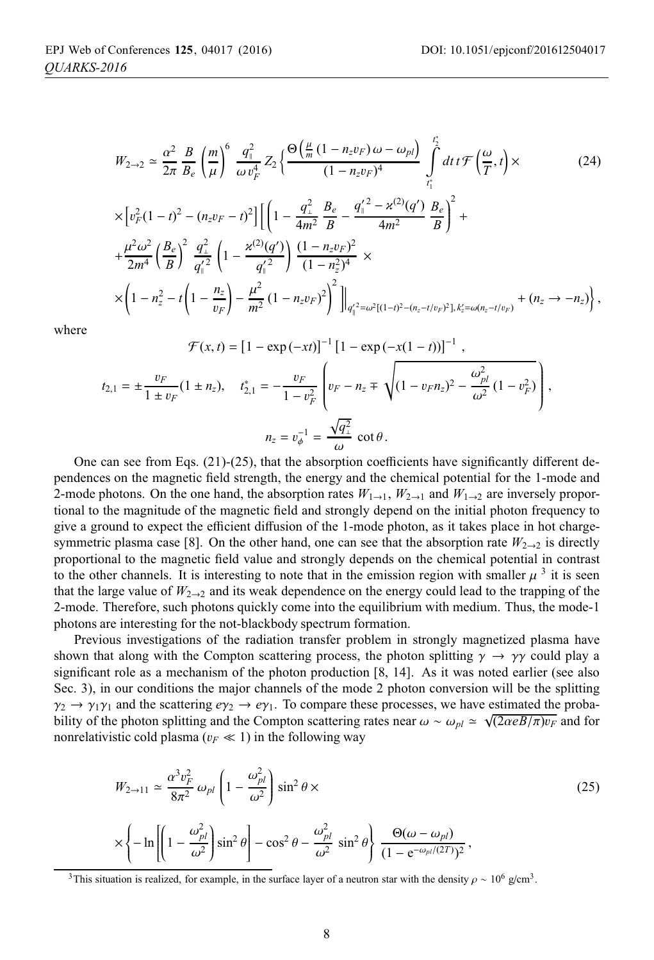$$
W_{2\to2} \simeq \frac{\alpha^2}{2\pi} \frac{B}{B_e} \left(\frac{m}{\mu}\right)^6 \frac{q_{\parallel}^2}{\omega v_F^4} Z_2 \left\{ \frac{\Theta\left(\frac{\mu}{m} (1 - n_z v_F) \omega - \omega_{pl}\right)}{(1 - n_z v_F)^4} \int_{t_1^*}^{t_2^*} dt \, t \mathcal{F}\left(\frac{\omega}{T}, t\right) \times \left[\nu_F^2 (1 - t)^2 - (n_z v_F - t)^2\right] \left[\left(1 - \frac{q_{\perp}^2}{4m^2} \frac{B_e}{B} - \frac{q_{\parallel}'^2 - \varkappa^{(2)}(q')}{4m^2} \frac{B_e}{B}\right)^2 + \right. \\ \left. + \frac{\mu^2 \omega^2}{2m^4} \left(\frac{B_e}{B}\right)^2 \frac{q_{\perp}^2}{q_{\parallel}'} \left(1 - \frac{\varkappa^{(2)}(q')}{q_{\parallel}'^2}\right) \frac{(1 - n_z v_F)^2}{(1 - n_z^2)^4} \times \left.\right. \\ \left. \times \left(1 - n_z^2 - t\left(1 - \frac{n_z}{v_F}\right) - \frac{\mu^2}{m^2} (1 - n_z v_F)^2\right)^2\right]\right\|_{q_{\parallel}'^2 = \omega^2 [(1 - t)^2 - (n_z - t/v_F)^2], k_z' = \omega(n_z - t/v_F)} + (n_z \to -n_z)\right\},
$$

where

$$
\mathcal{F}(x, t) = \left[1 - \exp(-xt)\right]^{-1} \left[1 - \exp(-x(1-t))\right]^{-1},
$$
  
\n
$$
t_{2,1} = \pm \frac{v_F}{1 \pm v_F} (1 \pm n_z), \quad t_{2,1}^* = -\frac{v_F}{1 - v_F^2} \left( v_F - n_z \mp \sqrt{(1 - v_F n_z)^2 - \frac{\omega_{pl}^2}{\omega^2} (1 - v_F^2)} \right),
$$
  
\n
$$
n_z = v_{\phi}^{-1} = \frac{\sqrt{q_{\perp}^2}}{\omega} \cot \theta.
$$
  
\nOne can see from Eqs. (21)-(25), that the absorption coefficients have significantly different de-

pendences on the magnetic field strength, the energy and the chemical potential for the 1-mode and 2-mode photons. On the one hand, the absorption rates  $W_{1\rightarrow 1}$ ,  $W_{2\rightarrow 1}$  and  $W_{1\rightarrow 2}$  are inversely proportional to the magnitude of the magnetic field and strongly depend on the initial photon frequency to give a ground to expect the efficient diffusion of the 1-mode photon, as it takes place in hot chargesymmetric plasma case [8]. On the other hand, one can see that the absorption rate  $W_{2\rightarrow 2}$  is directly proportional to the magnetic field value and strongly depends on the chemical potential in contrast to the other channels. It is interesting to note that in the emission region with smaller  $\mu^3$  it is seen that the large value of  $W_{2\to 2}$  and its weak dependence on the energy could lead to the trapping of the 2-mode. Therefore, such photons quickly come into the equilibrium with medium. Thus, the mode-1 photons are interesting for the not-blackbody spectrum formation.

Previous investigations of the radiation transfer problem in strongly magnetized plasma have shown that along with the Compton scattering process, the photon splitting  $\gamma \to \gamma \gamma$  could play a significant role as a mechanism of the photon production [8, 14]. As it was noted earlier (see also Sec. 3), in our conditions the major channels of the mode 2 photon conversion will be the splitting  $\gamma_2 \rightarrow \gamma_1 \gamma_1$  and the scattering  $e\gamma_2 \rightarrow e\gamma_1$ . To compare these processes, we have estimated the probability of the photon splitting and the Compton scattering rates near  $\omega \sim \omega_{pl} \simeq \sqrt{(2\alpha eB/\pi)v_F}$  and for nonrelativistic cold plasma (*v*<sub>E</sub>  $\ll$  1) in the following way. nonrelativistic cold plasma ( $v_F \ll 1$ ) in the following way

$$
W_{2\to11} \simeq \frac{\alpha^3 v_F^2}{8\pi^2} \omega_{pl} \left( 1 - \frac{\omega_{pl}^2}{\omega^2} \right) \sin^2 \theta \times \left( 25 \right)
$$
  

$$
\times \left\{ -\ln \left[ \left( 1 - \frac{\omega_{pl}^2}{\omega^2} \right) \sin^2 \theta \right] - \cos^2 \theta - \frac{\omega_{pl}^2}{\omega^2} \sin^2 \theta \right\} \frac{\Theta(\omega - \omega_{pl})}{\left( 1 - e^{-\omega_{pl}/(2T)} \right)^2},
$$
 (25)

<sup>3</sup>This situation is realized, for example, in the surface layer of a neutron star with the density  $\rho \sim 10^6$  g/cm<sup>3</sup>.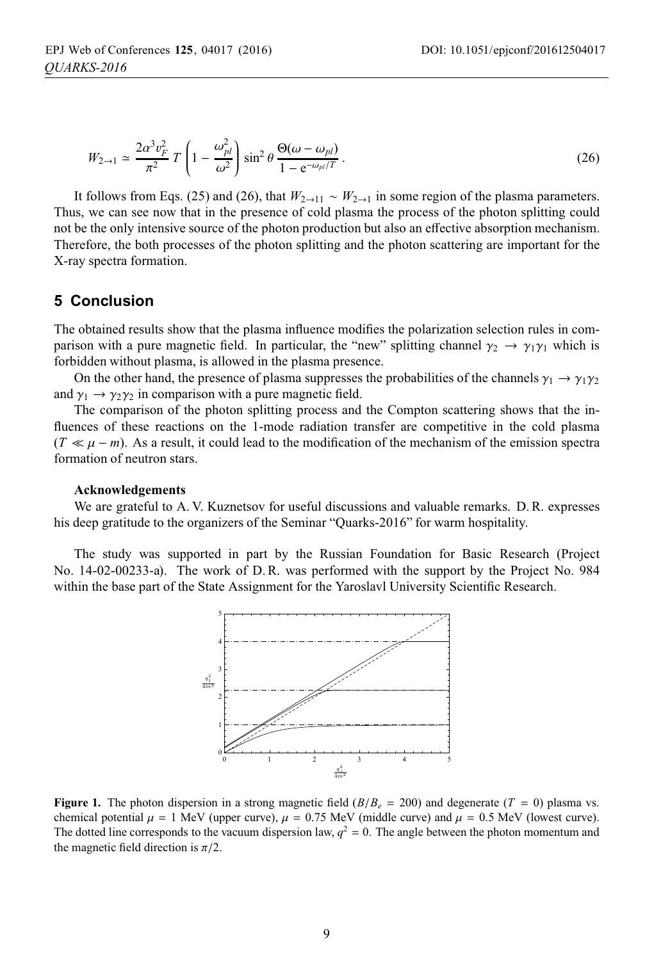$$
W_{2\to 1} \simeq \frac{2\alpha^3 v_F^2}{\pi^2} T \left( 1 - \frac{\omega_{pl}^2}{\omega^2} \right) \sin^2 \theta \, \frac{\Theta(\omega - \omega_{pl})}{1 - e^{-\omega_{pl}/T}} \,. \tag{26}
$$

It follows from Eqs. (25) and (26), that  $W_{2\rightarrow11} \sim W_{2\rightarrow1}$  in some region of the plasma parameters. Thus, we can see now that in the presence of cold plasma the process of the photon splitting could not be the only intensive source of the photon production but also an effective absorption mechanism. Therefore, the both processes of the photon splitting and the photon scattering are important for the X-ray spectra formation.

### **5 Conclusion**

The obtained results show that the plasma influence modifies the polarization selection rules in comparison with a pure magnetic field. In particular, the "new" splitting channel  $\gamma_2 \rightarrow \gamma_1 \gamma_1$  which is forbidden without plasma, is allowed in the plasma presence.

On the other hand, the presence of plasma suppresses the probabilities of the channels  $\gamma_1 \rightarrow \gamma_1 \gamma_2$ and  $\gamma_1 \rightarrow \gamma_2 \gamma_2$  in comparison with a pure magnetic field.

The comparison of the photon splitting process and the Compton scattering shows that the influences of these reactions on the 1-mode radiation transfer are competitive in the cold plasma  $(T \ll \mu - m)$ . As a result, it could lead to the modification of the mechanism of the emission spectra formation of neutron stars.

#### **Acknowledgements**

We are grateful to A. V. Kuznetsov for useful discussions and valuable remarks. D. R. expresses his deep gratitude to the organizers of the Seminar "Quarks-2016" for warm hospitality.

The study was supported in part by the Russian Foundation for Basic Research (Project No. 14-02-00233-a). The work of D. R. was performed with the support by the Project No. 984 within the base part of the State Assignment for the Yaroslavl University Scientific Research.



**Figure 1.** The photon dispersion in a strong magnetic field  $(B/B_e = 200)$  and degenerate (*T* = 0) plasma vs. chemical potential  $\mu = 1$  MeV (upper curve),  $\mu = 0.75$  MeV (middle curve) and  $\mu = 0.5$  MeV (lowest curve). The dotted line corresponds to the vacuum dispersion law,  $q^2 = 0$ . The angle between the photon momentum and the magnetic field direction is  $\pi/2$ .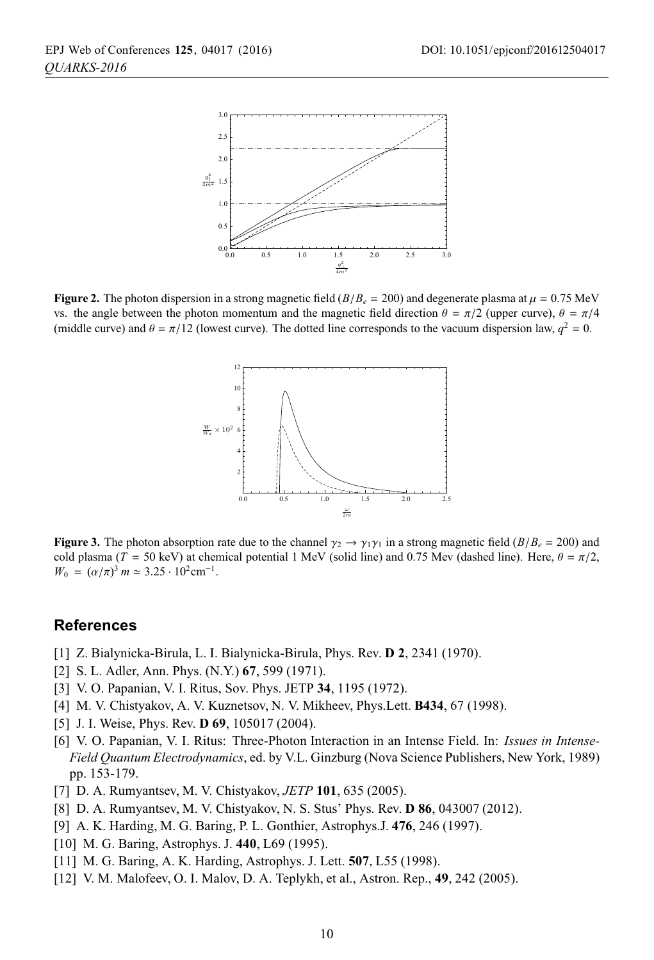

**Figure 2.** The photon dispersion in a strong magnetic field  $(B/B_e = 200)$  and degenerate plasma at  $\mu = 0.75$  MeV vs. the angle between the photon momentum and the magnetic field direction  $\theta = \pi/2$  (upper curve),  $\theta = \pi/4$ (middle curve) and  $\theta = \pi/12$  (lowest curve). The dotted line corresponds to the vacuum dispersion law,  $q^2 = 0$ .



**Figure 3.** The photon absorption rate due to the channel  $\gamma_2 \rightarrow \gamma_1 \gamma_1$  in a strong magnetic field ( $B/B_e = 200$ ) and cold plasma ( $T = 50 \text{ keV}$ ) at chemical potential 1 MeV (solid line) and 0.75 Mev (dashed line). Here,  $\theta = \pi/2$ ,  $W_0 = (\alpha/\pi)^3 m \approx 3.25 \cdot 10^2 \text{cm}^{-1}.$ 

### **References**

- [1] Z. Bialynicka-Birula, L. I. Bialynicka-Birula, Phys. Rev. **D 2**, 2341 (1970).
- [2] S. L. Adler, Ann. Phys. (N.Y.) **67**, 599 (1971).
- [3] V. O. Papanian, V. I. Ritus, Sov. Phys. JETP **34**, 1195 (1972).
- [4] M. V. Chistyakov, A. V. Kuznetsov, N. V. Mikheev, Phys.Lett. **B434**, 67 (1998).
- [5] J. I. Weise, Phys. Rev. **D 69**, 105017 (2004).
- [6] V. O. Papanian, V. I. Ritus: Three-Photon Interaction in an Intense Field. In: *Issues in Intense-Field Quantum Electrodynamics*, ed. by V.L. Ginzburg (Nova Science Publishers, New York, 1989) pp. 153-179.
- [7] D. A. Rumyantsev, M. V. Chistyakov, *JETP* **101**, 635 (2005).
- [8] D. A. Rumyantsev, M. V. Chistyakov, N. S. Stus' Phys. Rev. **D 86**, 043007 (2012).
- [9] A. K. Harding, M. G. Baring, P. L. Gonthier, Astrophys.J. **476**, 246 (1997).
- [10] M. G. Baring, Astrophys. J. **440**, L69 (1995).
- [11] M. G. Baring, A. K. Harding, Astrophys. J. Lett. **507**, L55 (1998).
- [12] V. M. Malofeev, O. I. Malov, D. A. Teplykh, et al., Astron. Rep., **49**, 242 (2005).